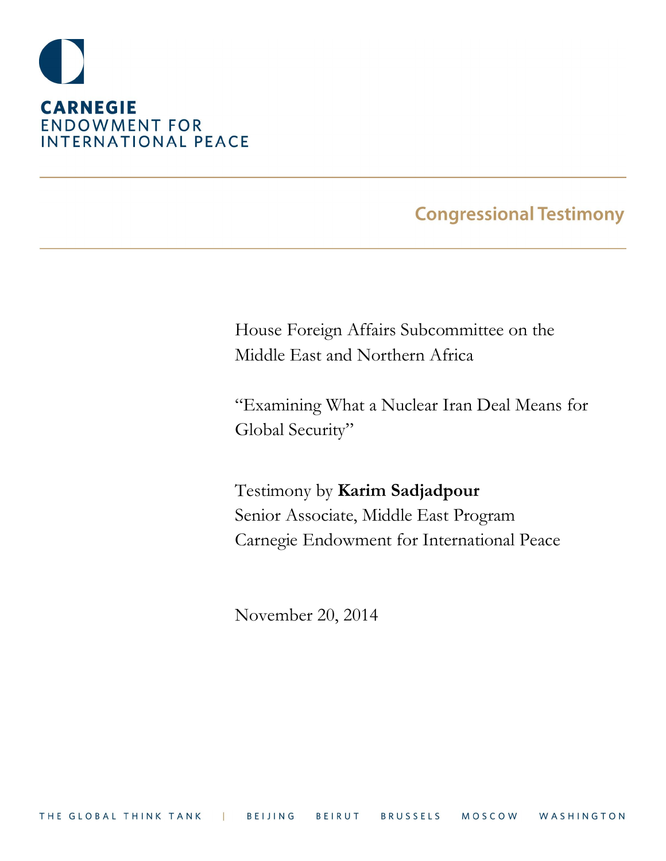

# **Congressional Testimony**

House Foreign Affairs Subcommittee on the Middle East and Northern Africa

"Examining What a Nuclear Iran Deal Means for Global Security"

Testimony by **Karim Sadjadpour** Senior Associate, Middle East Program Carnegie Endowment for International Peace

November 20, 2014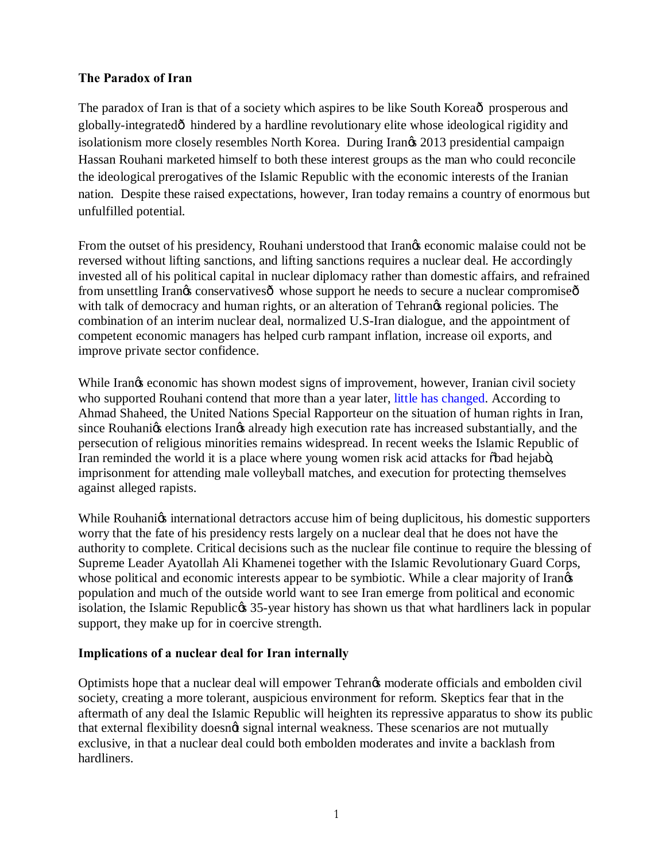### **The Paradox of Iran**

The paradox of Iran is that of a society which aspires to be like South Korea<sup>o</sup> prosperous and globally-integratedô hindered by a hardline revolutionary elite whose ideological rigidity and isolationism more closely resembles North Korea. During Irangs 2013 presidential campaign Hassan Rouhani marketed himself to both these interest groups as the man who could reconcile the ideological prerogatives of the Islamic Republic with the economic interests of the Iranian nation. Despite these raised expectations, however, Iran today remains a country of enormous but unfulfilled potential.

From the outset of his presidency, Rouhani understood that Irangs economic malaise could not be reversed without lifting sanctions, and lifting sanctions requires a nuclear deal. He accordingly invested all of his political capital in nuclear diplomacy rather than domestic affairs, and refrained from unsettling Irangs conservatives  $\hat{\sigma}$  whose support he needs to secure a nuclear compromise  $\hat{\sigma}$ with talk of democracy and human rights, or an alteration of Tehrangs regional policies. The combination of an interim nuclear deal, normalized U.S-Iran dialogue, and the appointment of competent economic managers has helped curb rampant inflation, increase oil exports, and improve private sector confidence.

While Irangies economic has shown modest signs of improvement, however, Iranian civil society who supported Rouhani contend that more than a year later, [little has changed.](http://www.theguardian.com/world/iran-blog/2014/sep/19/jila-baniyaghoob-iran-freedom-journalism-rouhani-un) According to Ahmad Shaheed, the United Nations Special Rapporteur on the situation of human rights in Iran, since Rouhanigs elections Irangs already high execution rate has increased substantially, and the persecution of religious minorities remains widespread. In recent weeks the Islamic Republic of Iran reminded the world it is a place where young women risk acid attacks for  $\delta$ bad hejabo, imprisonment for attending male volleyball matches, and execution for protecting themselves against alleged rapists.

While Rouhanigs international detractors accuse him of being duplicitous, his domestic supporters worry that the fate of his presidency rests largely on a nuclear deal that he does not have the authority to complete. Critical decisions such as the nuclear file continue to require the blessing of Supreme Leader Ayatollah Ali Khamenei together with the Islamic Revolutionary Guard Corps, whose political and economic interests appear to be symbiotic. While a clear majority of Irangs population and much of the outside world want to see Iran emerge from political and economic isolation, the Islamic Republices 35-year history has shown us that what hardliners lack in popular support, they make up for in coercive strength.

### **Implications of a nuclear deal for Iran internally**

Optimists hope that a nuclear deal will empower Tehran's moderate officials and embolden civil society, creating a more tolerant, auspicious environment for reform. Skeptics fear that in the aftermath of any deal the Islamic Republic will heighten its repressive apparatus to show its public that external flexibility doesngt signal internal weakness. These scenarios are not mutually exclusive, in that a nuclear deal could both embolden moderates and invite a backlash from hardliners.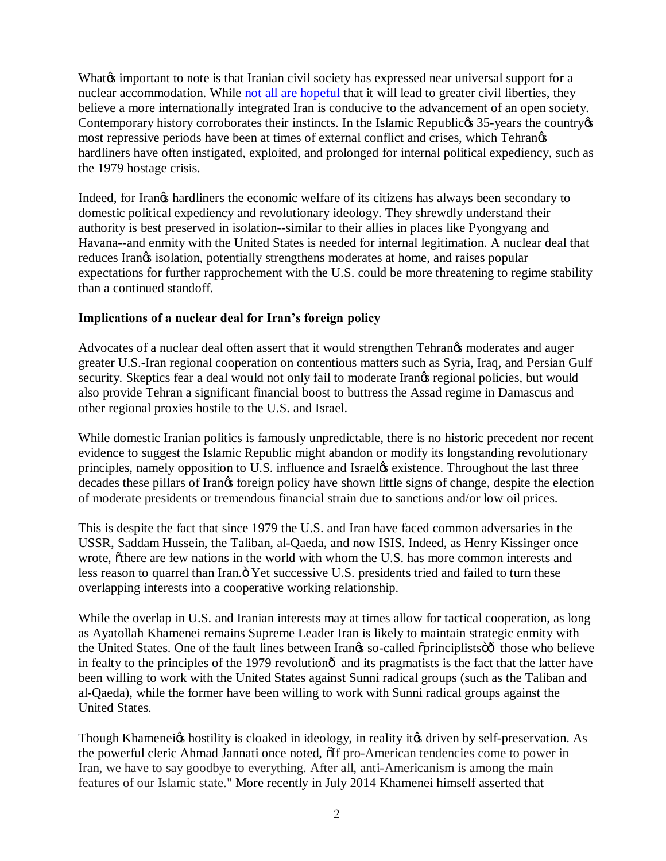What important to note is that Iranian civil society has expressed near universal support for a nuclear accommodation. While [not all are hopeful](http://www.slate.com/articles/news_and_politics/foreigners/2014/11/iran_s_nuclear_negotiations_with_the_west_would_a_deal_be_good_for_human.html) that it will lead to greater civil liberties, they believe a more internationally integrated Iran is conducive to the advancement of an open society. Contemporary history corroborates their instincts. In the Islamic Republices 35-years the countryes most repressive periods have been at times of external conflict and crises, which Tehrangs hardliners have often instigated, exploited, and prolonged for internal political expediency, such as the 1979 hostage crisis.

Indeed, for Iran's hardliners the economic welfare of its citizens has always been secondary to domestic political expediency and revolutionary ideology. They shrewdly understand their authority is best preserved in isolation--similar to their allies in places like Pyongyang and Havana--and enmity with the United States is needed for internal legitimation. A nuclear deal that reduces Iran $\alpha$  isolation, potentially strengthens moderates at home, and raises popular expectations for further rapprochement with the U.S. could be more threatening to regime stability than a continued standoff.

### **Implications of a nuclear deal for Iran's foreign policy**

Advocates of a nuclear deal often assert that it would strengthen Tehrangs moderates and auger greater U.S.-Iran regional cooperation on contentious matters such as Syria, Iraq, and Persian Gulf security. Skeptics fear a deal would not only fail to moderate Irangs regional policies, but would also provide Tehran a significant financial boost to buttress the Assad regime in Damascus and other regional proxies hostile to the U.S. and Israel.

While domestic Iranian politics is famously unpredictable, there is no historic precedent nor recent evidence to suggest the Islamic Republic might abandon or modify its longstanding revolutionary principles, namely opposition to U.S. influence and Israel & existence. Throughout the last three decades these pillars of Irangs foreign policy have shown little signs of change, despite the election of moderate presidents or tremendous financial strain due to sanctions and/or low oil prices.

This is despite the fact that since 1979 the U.S. and Iran have faced common adversaries in the USSR, Saddam Hussein, the Taliban, al-Qaeda, and now ISIS. Indeed, as Henry Kissinger once wrote,  $\tilde{o}$ there are few nations in the world with whom the U.S. has more common interests and less reason to quarrel than Iran. The Yet successive U.S. presidents tried and failed to turn these overlapping interests into a cooperative working relationship.

While the overlap in U.S. and Iranian interests may at times allow for tactical cooperation, as long as Ayatollah Khamenei remains Supreme Leader Iran is likely to maintain strategic enmity with the United States. One of the fault lines between Irangs so-called  $\ddot{\text{opricip}}$ lists $\ddot{\text{co}}$  those who believe in fealty to the principles of the 1979 revolutionô and its pragmatists is the fact that the latter have been willing to work with the United States against Sunni radical groups (such as the Taliban and al-Qaeda), while the former have been willing to work with Sunni radical groups against the United States.

Though Khameneigs hostility is cloaked in ideology, in reality itgs driven by self-preservation. As the powerful cleric Ahmad Jannati once noted,  $\delta$ If pro-American tendencies come to power in Iran, we have to say goodbye to everything. After all, anti-Americanism is among the main features of our Islamic state." More recently in July 2014 Khamenei himself asserted that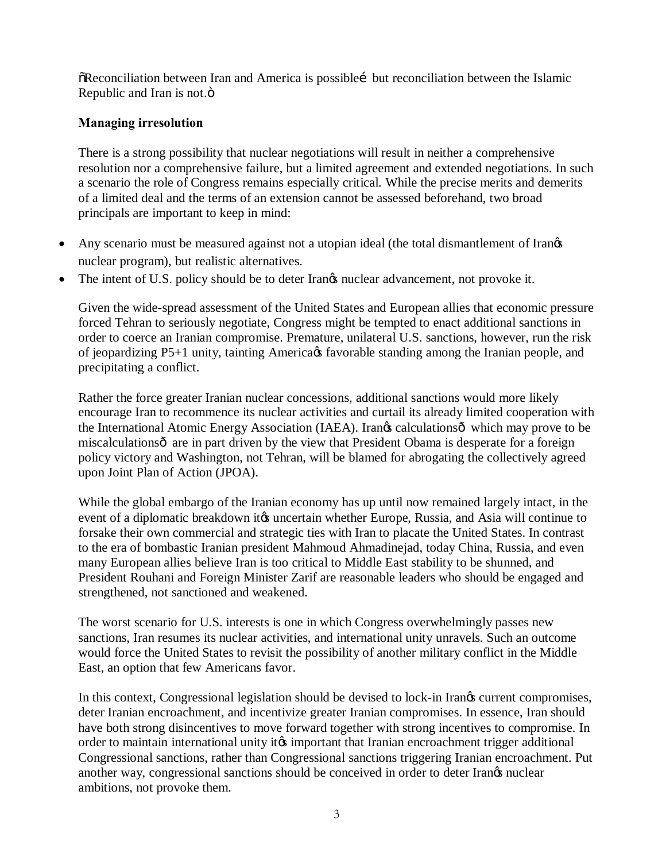$\delta$ Reconciliation between Iran and America is possible but reconciliation between the Islamic Republic and Iran is not.<sup> $\ddot{\text{o}}$ </sup>

## **Managing irresolution**

There is a strong possibility that nuclear negotiations will result in neither a comprehensive resolution nor a comprehensive failure, but a limited agreement and extended negotiations. In such a scenario the role of Congress remains especially critical. While the precise merits and demerits of a limited deal and the terms of an extension cannot be assessed beforehand, two broad principals are important to keep in mind:

- Any scenario must be measured against not a utopian ideal (the total dismantlement of Irangs nuclear program), but realistic alternatives.
- The intent of U.S. policy should be to deter Irangs nuclear advancement, not provoke it.

Given the wide-spread assessment of the United States and European allies that economic pressure forced Tehran to seriously negotiate, Congress might be tempted to enact additional sanctions in order to coerce an Iranian compromise. Premature, unilateral U.S. sanctions, however, run the risk of jeopardizing P5+1 unity, tainting America ts favorable standing among the Iranian people, and precipitating a conflict.

Rather the force greater Iranian nuclear concessions, additional sanctions would more likely encourage Iran to recommence its nuclear activities and curtail its already limited cooperation with the International Atomic Energy Association (IAEA). Irangs calculations  $\hat{\sigma}$  which may prove to be miscalculationsô are in part driven by the view that President Obama is desperate for a foreign policy victory and Washington, not Tehran, will be blamed for abrogating the collectively agreed upon Joint Plan of Action (JPOA).

While the global embargo of the Iranian economy has up until now remained largely intact, in the event of a diplomatic breakdown it to uncertain whether Europe, Russia, and Asia will continue to forsake their own commercial and strategic ties with Iran to placate the United States. In contrast to the era of bombastic Iranian president Mahmoud Ahmadinejad, today China, Russia, and even many European allies believe Iran is too critical to Middle East stability to be shunned, and President Rouhani and Foreign Minister Zarif are reasonable leaders who should be engaged and strengthened, not sanctioned and weakened.

The worst scenario for U.S. interests is one in which Congress overwhelmingly passes new sanctions, Iran resumes its nuclear activities, and international unity unravels. Such an outcome would force the United States to revisit the possibility of another military conflict in the Middle East, an option that few Americans favor.

In this context, Congressional legislation should be devised to lock-in Irangs current compromises, deter Iranian encroachment, and incentivize greater Iranian compromises. In essence, Iran should have both strong disincentives to move forward together with strong incentives to compromise. In order to maintain international unity it is important that Iranian encroachment trigger additional Congressional sanctions, rather than Congressional sanctions triggering Iranian encroachment. Put another way, congressional sanctions should be conceived in order to deter Irangs nuclear ambitions, not provoke them.